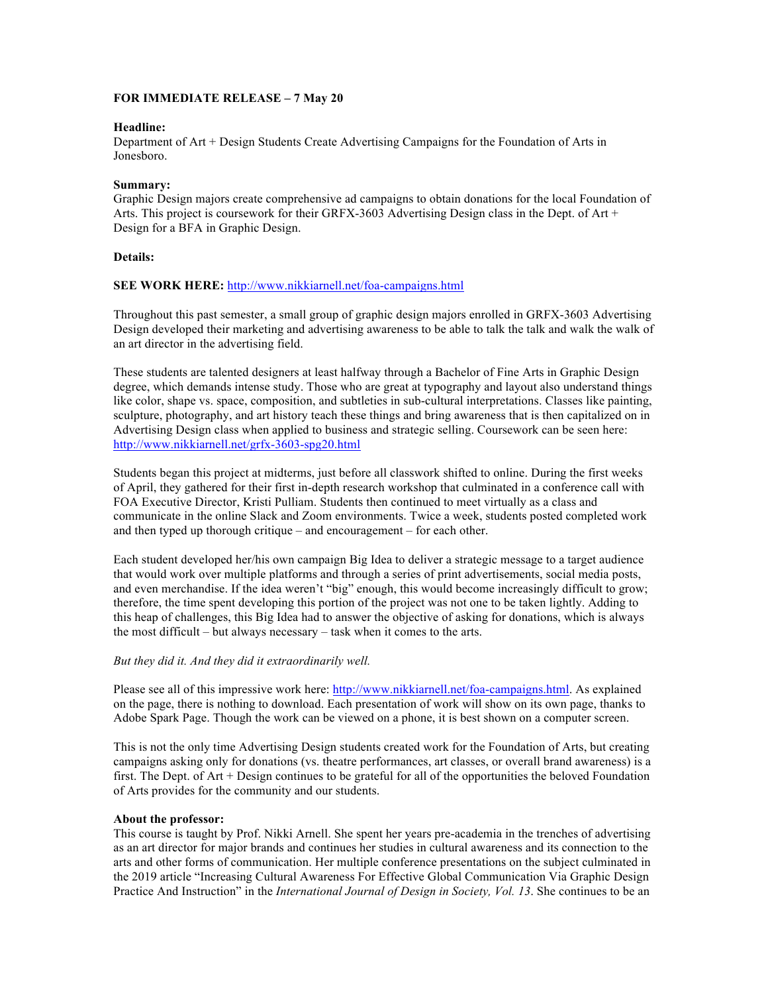### **FOR IMMEDIATE RELEASE – 7 May 20**

### **Headline:**

Department of Art + Design Students Create Advertising Campaigns for the Foundation of Arts in Jonesboro.

### **Summary:**

Graphic Design majors create comprehensive ad campaigns to obtain donations for the local Foundation of Arts. This project is coursework for their GRFX-3603 Advertising Design class in the Dept. of Art + Design for a BFA in Graphic Design.

# **Details:**

# **SEE WORK HERE:** http://www.nikkiarnell.net/foa-campaigns.html

Throughout this past semester, a small group of graphic design majors enrolled in GRFX-3603 Advertising Design developed their marketing and advertising awareness to be able to talk the talk and walk the walk of an art director in the advertising field.

These students are talented designers at least halfway through a Bachelor of Fine Arts in Graphic Design degree, which demands intense study. Those who are great at typography and layout also understand things like color, shape vs. space, composition, and subtleties in sub-cultural interpretations. Classes like painting, sculpture, photography, and art history teach these things and bring awareness that is then capitalized on in Advertising Design class when applied to business and strategic selling. Coursework can be seen here: http://www.nikkiarnell.net/grfx-3603-spg20.html

Students began this project at midterms, just before all classwork shifted to online. During the first weeks of April, they gathered for their first in-depth research workshop that culminated in a conference call with FOA Executive Director, Kristi Pulliam. Students then continued to meet virtually as a class and communicate in the online Slack and Zoom environments. Twice a week, students posted completed work and then typed up thorough critique – and encouragement – for each other.

Each student developed her/his own campaign Big Idea to deliver a strategic message to a target audience that would work over multiple platforms and through a series of print advertisements, social media posts, and even merchandise. If the idea weren't "big" enough, this would become increasingly difficult to grow; therefore, the time spent developing this portion of the project was not one to be taken lightly. Adding to this heap of challenges, this Big Idea had to answer the objective of asking for donations, which is always the most difficult – but always necessary – task when it comes to the arts.

### *But they did it. And they did it extraordinarily well.*

Please see all of this impressive work here: http://www.nikkiarnell.net/foa-campaigns.html. As explained on the page, there is nothing to download. Each presentation of work will show on its own page, thanks to Adobe Spark Page. Though the work can be viewed on a phone, it is best shown on a computer screen.

This is not the only time Advertising Design students created work for the Foundation of Arts, but creating campaigns asking only for donations (vs. theatre performances, art classes, or overall brand awareness) is a first. The Dept. of Art + Design continues to be grateful for all of the opportunities the beloved Foundation of Arts provides for the community and our students.

### **About the professor:**

This course is taught by Prof. Nikki Arnell. She spent her years pre-academia in the trenches of advertising as an art director for major brands and continues her studies in cultural awareness and its connection to the arts and other forms of communication. Her multiple conference presentations on the subject culminated in the 2019 article "Increasing Cultural Awareness For Effective Global Communication Via Graphic Design Practice And Instruction" in the *International Journal of Design in Society, Vol. 13*. She continues to be an